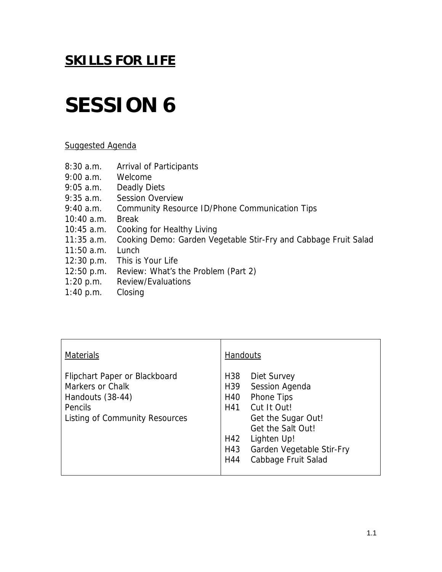## **SESSION 6**

#### Suggested Agenda

- 8:30 a.m. Arrival of Participants
- 9:00 a.m. Welcome
- 9:05 a.m. Deadly Diets
- 9:35 a.m. Session Overview
- 9:40 a.m. Community Resource ID/Phone Communication Tips
- 10:40 a.m. Break
- 10:45 a.m. Cooking for Healthy Living
- 11:35 a.m. Cooking Demo: Garden Vegetable Stir-Fry and Cabbage Fruit Salad
- 11:50 a.m. Lunch
- 12:30 p.m. This is Your Life
- 12:50 p.m. Review: What's the Problem (Part 2)
- 1:20 p.m. Review/Evaluations
- 1:40 p.m. Closing

| <b>Materials</b>                                                                                                   | <b>Handouts</b>                                                                                                                                                                                                                                          |
|--------------------------------------------------------------------------------------------------------------------|----------------------------------------------------------------------------------------------------------------------------------------------------------------------------------------------------------------------------------------------------------|
| Flipchart Paper or Blackboard<br>Markers or Chalk<br>Handouts (38-44)<br>Pencils<br>Listing of Community Resources | H <sub>38</sub><br>Diet Survey<br>H <sub>39</sub><br>Session Agenda<br>H40<br><b>Phone Tips</b><br>H41<br>Cut It Out!<br>Get the Sugar Out!<br>Get the Salt Out!<br>H42<br>Lighten Up!<br>H43<br>Garden Vegetable Stir-Fry<br>Cabbage Fruit Salad<br>H44 |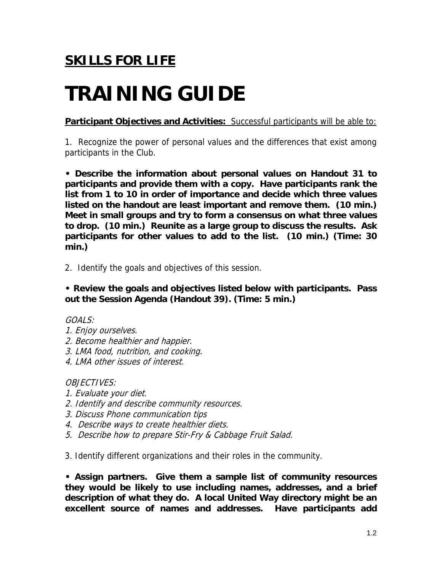## **TRAINING GUIDE**

**Participant Objectives and Activities:** Successful participants will be able to:

1. Recognize the power of personal values and the differences that exist among participants in the Club.

**• Describe the information about personal values on Handout 31 to participants and provide them with a copy. Have participants rank the list from 1 to 10 in order of importance and decide which three values listed on the handout are least important and remove them. (10 min.) Meet in small groups and try to form a consensus on what three values to drop. (10 min.) Reunite as a large group to discuss the results. Ask participants for other values to add to the list. (10 min.) (Time: 30 min.)** 

2. Identify the goals and objectives of this session.

**• Review the goals and objectives listed below with participants. Pass out the Session Agenda (Handout 39). (Time: 5 min.)** 

### $GOAI$  S:

- 1. Enjoy ourselves.
- 2. Become healthier and happier.
- 3. LMA food, nutrition, and cooking.
- 4. LMA other issues of interest.

OBJECTIVES:

- 1. Evaluate your diet.
- 2. Identify and describe community resources.
- 3. Discuss Phone communication tips
- 4. Describe ways to create healthier diets.
- 5. Describe how to prepare Stir-Fry & Cabbage Fruit Salad.

3. Identify different organizations and their roles in the community.

**• Assign partners. Give them a sample list of community resources they would be likely to use including names, addresses, and a brief description of what they do. A local United Way directory might be an excellent source of names and addresses. Have participants add**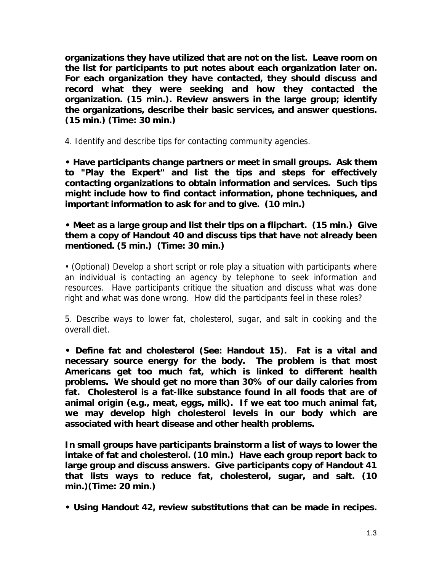**organizations they have utilized that are not on the list. Leave room on the list for participants to put notes about each organization later on. For each organization they have contacted, they should discuss and record what they were seeking and how they contacted the organization. (15 min.). Review answers in the large group; identify the organizations, describe their basic services, and answer questions. (15 min.) (Time: 30 min.)** 

4. Identify and describe tips for contacting community agencies.

**• Have participants change partners or meet in small groups. Ask them to "Play the Expert" and list the tips and steps for effectively contacting organizations to obtain information and services. Such tips might include how to find contact information, phone techniques, and important information to ask for and to give. (10 min.)** 

**• Meet as a large group and list their tips on a flipchart. (15 min.) Give them a copy of Handout 40 and discuss tips that have not already been mentioned. (5 min.) (Time: 30 min.)** 

• (Optional) Develop a short script or role play a situation with participants where an individual is contacting an agency by telephone to seek information and resources. Have participants critique the situation and discuss what was done right and what was done wrong. How did the participants feel in these roles?

5. Describe ways to lower fat, cholesterol, sugar, and salt in cooking and the overall diet.

**• Define fat and cholesterol (See: Handout 15). Fat is a vital and necessary source energy for the body. The problem is that most Americans get too much fat, which is linked to different health problems. We should get no more than 30% of our daily calories from fat. Cholesterol is a fat-like substance found in all foods that are of animal origin (e.g., meat, eggs, milk). If we eat too much animal fat, we may develop high cholesterol levels in our body which are associated with heart disease and other health problems.** 

**In small groups have participants brainstorm a list of ways to lower the intake of fat and cholesterol. (10 min.) Have each group report back to large group and discuss answers. Give participants copy of Handout 41 that lists ways to reduce fat, cholesterol, sugar, and salt. (10 min.)(Time: 20 min.)** 

**• Using Handout 42, review substitutions that can be made in recipes.**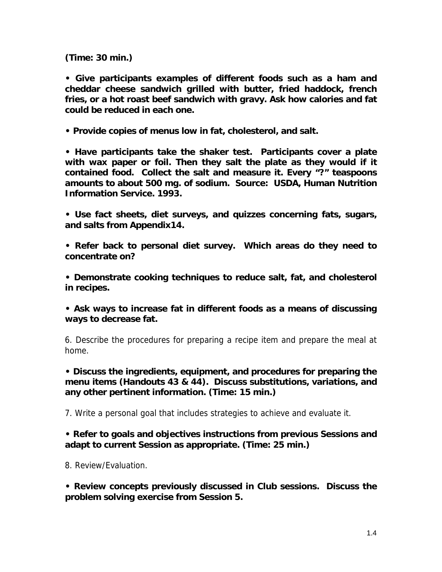**(Time: 30 min.)** 

**• Give participants examples of different foods such as a ham and cheddar cheese sandwich grilled with butter, fried haddock, french fries, or a hot roast beef sandwich with gravy. Ask how calories and fat could be reduced in each one.** 

**• Provide copies of menus low in fat, cholesterol, and salt.** 

**• Have participants take the shaker test. Participants cover a plate with wax paper or foil. Then they salt the plate as they would if it contained food. Collect the salt and measure it. Every "?" teaspoons amounts to about 500 mg. of sodium. Source: USDA, Human Nutrition Information Service. 1993.** 

**• Use fact sheets, diet surveys, and quizzes concerning fats, sugars, and salts from Appendix14.** 

**• Refer back to personal diet survey. Which areas do they need to concentrate on?** 

**• Demonstrate cooking techniques to reduce salt, fat, and cholesterol in recipes.** 

**• Ask ways to increase fat in different foods as a means of discussing ways to decrease fat.** 

6. Describe the procedures for preparing a recipe item and prepare the meal at home.

**• Discuss the ingredients, equipment, and procedures for preparing the menu items (Handouts 43 & 44). Discuss substitutions, variations, and any other pertinent information. (Time: 15 min.)** 

7. Write a personal goal that includes strategies to achieve and evaluate it.

### **• Refer to goals and objectives instructions from previous Sessions and adapt to current Session as appropriate. (Time: 25 min.)**

8. Review/Evaluation.

**• Review concepts previously discussed in Club sessions. Discuss the problem solving exercise from Session 5.**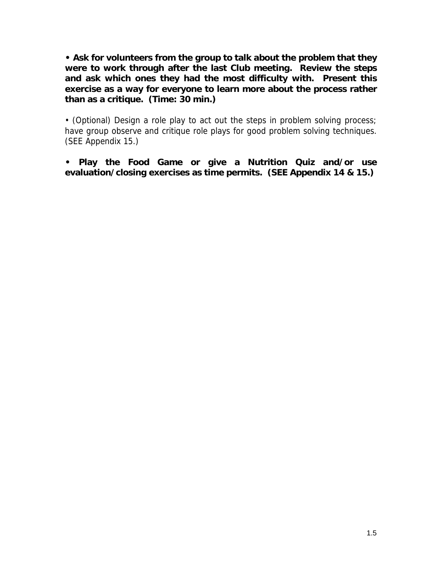**• Ask for volunteers from the group to talk about the problem that they were to work through after the last Club meeting. Review the steps and ask which ones they had the most difficulty with. Present this exercise as a way for everyone to learn more about the process rather than as a critique. (Time: 30 min.)** 

• (Optional) Design a role play to act out the steps in problem solving process; have group observe and critique role plays for good problem solving techniques. (SEE Appendix 15.)

**• Play the Food Game or give a Nutrition Quiz and/or use evaluation/closing exercises as time permits. (SEE Appendix 14 & 15.)**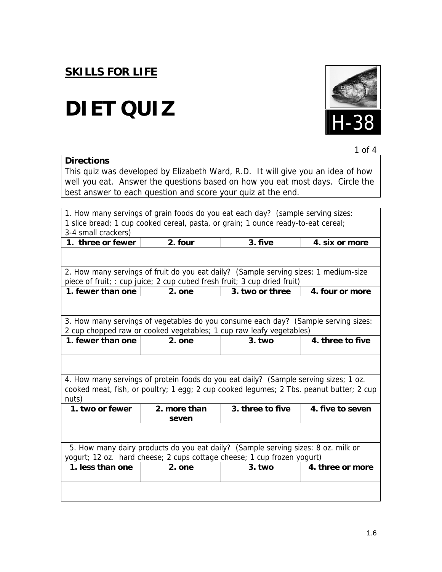**Directions** 

# H-38 **DIET QUIZ**



|  | 1 $\alpha$ f<br>.<br>. |
|--|------------------------|
|--|------------------------|

This quiz was developed by Elizabeth Ward, R.D. It will give you an idea of how well you eat. Answer the questions based on how you eat most days. Circle the best answer to each question and score your quiz at the end.

| 1. How many servings of grain foods do you eat each day? (sample serving sizes:                                                                              |                                                                                         |                  |                  |  |
|--------------------------------------------------------------------------------------------------------------------------------------------------------------|-----------------------------------------------------------------------------------------|------------------|------------------|--|
| 1 slice bread; 1 cup cooked cereal, pasta, or grain; 1 ounce ready-to-eat cereal;                                                                            |                                                                                         |                  |                  |  |
| 3-4 small crackers)                                                                                                                                          |                                                                                         |                  |                  |  |
| 1. three or fewer                                                                                                                                            | 2. four                                                                                 | 4. six or more   |                  |  |
|                                                                                                                                                              |                                                                                         |                  |                  |  |
|                                                                                                                                                              | 2. How many servings of fruit do you eat daily? (Sample serving sizes: 1 medium-size    |                  |                  |  |
|                                                                                                                                                              | piece of fruit; : cup juice; 2 cup cubed fresh fruit; 3 cup dried fruit)                |                  |                  |  |
| 1. fewer than one                                                                                                                                            | 2. one                                                                                  | 3. two or three  | 4. four or more  |  |
|                                                                                                                                                              |                                                                                         |                  |                  |  |
|                                                                                                                                                              | 3. How many servings of vegetables do you consume each day? (Sample serving sizes:      |                  |                  |  |
|                                                                                                                                                              | 2 cup chopped raw or cooked vegetables; 1 cup raw leafy vegetables)                     |                  |                  |  |
| 1. fewer than one                                                                                                                                            | 2. one                                                                                  | $3.$ two         | 4. three to five |  |
|                                                                                                                                                              |                                                                                         |                  |                  |  |
|                                                                                                                                                              |                                                                                         |                  |                  |  |
|                                                                                                                                                              | 4. How many servings of protein foods do you eat daily? (Sample serving sizes; 1 oz.    |                  |                  |  |
|                                                                                                                                                              | cooked meat, fish, or poultry; 1 egg; 2 cup cooked legumes; 2 Tbs. peanut butter; 2 cup |                  |                  |  |
| nuts)                                                                                                                                                        |                                                                                         |                  |                  |  |
| 1. two or fewer                                                                                                                                              | 2. more than<br>seven                                                                   | 3. three to five | 4. five to seven |  |
|                                                                                                                                                              |                                                                                         |                  |                  |  |
| 5. How many dairy products do you eat daily? (Sample serving sizes: 8 oz. milk or<br>yogurt; 12 oz. hard cheese; 2 cups cottage cheese; 1 cup frozen yogurt) |                                                                                         |                  |                  |  |
| 1. less than one                                                                                                                                             | 2. one                                                                                  | $3.$ two         | 4. three or more |  |
|                                                                                                                                                              |                                                                                         |                  |                  |  |
|                                                                                                                                                              |                                                                                         |                  |                  |  |
|                                                                                                                                                              |                                                                                         |                  |                  |  |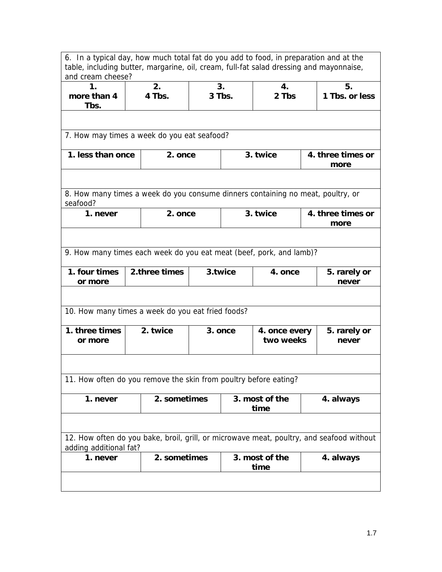6. In a typical day, how much total fat do you add to food, in preparation and at the table, including butter, margarine, oil, cream, full-fat salad dressing and mayonnaise, and cream cheese?

| 1.<br>more than 4<br>Tbs.                                                                                          |  | 2.<br>4 Tbs.  | 3.<br>3 Tbs. |          | 4.<br>2 Tbs                |                           | 5.<br>1 Tbs. or less  |
|--------------------------------------------------------------------------------------------------------------------|--|---------------|--------------|----------|----------------------------|---------------------------|-----------------------|
|                                                                                                                    |  |               |              |          |                            |                           |                       |
| 7. How may times a week do you eat seafood?                                                                        |  |               |              |          |                            |                           |                       |
| 1. less than once                                                                                                  |  | 2. once       |              | 3. twice |                            | 4. three times or<br>more |                       |
|                                                                                                                    |  |               |              |          |                            |                           |                       |
| 8. How many times a week do you consume dinners containing no meat, poultry, or<br>seafood?                        |  |               |              |          |                            |                           |                       |
| 1. never                                                                                                           |  | 2. once       |              |          | 3. twice                   | 4. three times or<br>more |                       |
|                                                                                                                    |  |               |              |          |                            |                           |                       |
| 9. How many times each week do you eat meat (beef, pork, and lamb)?                                                |  |               |              |          |                            |                           |                       |
| 1. four times<br>or more                                                                                           |  | 2.three times | 3.twice      |          | 4. once                    | 5. rarely or<br>never     |                       |
|                                                                                                                    |  |               |              |          |                            |                           |                       |
| 10. How many times a week do you eat fried foods?                                                                  |  |               |              |          |                            |                           |                       |
| 1. three times<br>or more                                                                                          |  | 2. twice      | 3. once      |          | 4. once every<br>two weeks |                           | 5. rarely or<br>never |
|                                                                                                                    |  |               |              |          |                            |                           |                       |
| 11. How often do you remove the skin from poultry before eating?                                                   |  |               |              |          |                            |                           |                       |
| 1. never                                                                                                           |  | 2. sometimes  |              |          | 3. most of the<br>time     | 4. always                 |                       |
|                                                                                                                    |  |               |              |          |                            |                           |                       |
| 12. How often do you bake, broil, grill, or microwave meat, poultry, and seafood without<br>adding additional fat? |  |               |              |          |                            |                           |                       |
| 1. never                                                                                                           |  | 2. sometimes  |              |          | 3. most of the<br>time     |                           | 4. always             |
|                                                                                                                    |  |               |              |          |                            |                           |                       |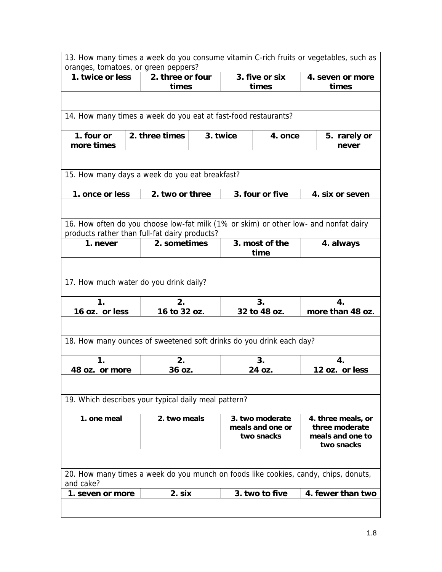| 13. How many times a week do you consume vitamin C-rich fruits or vegetables, such as<br>oranges, tomatoes, or green peppers?         |  |                      |                                |          |                                |                       |                                    |  |
|---------------------------------------------------------------------------------------------------------------------------------------|--|----------------------|--------------------------------|----------|--------------------------------|-----------------------|------------------------------------|--|
| 2. three or four<br>3. five or six<br>1. twice or less                                                                                |  |                      | 4. seven or more               |          |                                |                       |                                    |  |
|                                                                                                                                       |  |                      | times                          |          | times                          |                       | times                              |  |
|                                                                                                                                       |  |                      |                                |          |                                |                       |                                    |  |
| 14. How many times a week do you eat at fast-food restaurants?                                                                        |  |                      |                                |          |                                |                       |                                    |  |
|                                                                                                                                       |  |                      |                                |          |                                |                       |                                    |  |
| 1. four or<br>more times                                                                                                              |  | 2. three times       |                                | 3. twice | 4. once                        | 5. rarely or<br>never |                                    |  |
|                                                                                                                                       |  |                      |                                |          |                                |                       |                                    |  |
| 15. How many days a week do you eat breakfast?                                                                                        |  |                      |                                |          |                                |                       |                                    |  |
| 1. once or less                                                                                                                       |  | 2. two or three      |                                |          | 3. four or five                | 4. six or seven       |                                    |  |
|                                                                                                                                       |  |                      |                                |          |                                |                       |                                    |  |
| 16. How often do you choose low-fat milk (1% or skim) or other low- and nonfat dairy<br>products rather than full-fat dairy products? |  |                      |                                |          |                                |                       |                                    |  |
| 1. never                                                                                                                              |  |                      | 2. sometimes<br>3. most of the |          | time                           | 4. always             |                                    |  |
|                                                                                                                                       |  |                      |                                |          |                                |                       |                                    |  |
| 17. How much water do you drink daily?                                                                                                |  |                      |                                |          |                                |                       |                                    |  |
| $\mathbf 1$ .                                                                                                                         |  | 2.<br>3 <sub>1</sub> |                                | 4.       |                                |                       |                                    |  |
| 16 oz. or less                                                                                                                        |  | 16 to 32 oz.         |                                |          | 32 to 48 oz.                   |                       | more than 48 oz.                   |  |
|                                                                                                                                       |  |                      |                                |          |                                |                       |                                    |  |
| 18. How many ounces of sweetened soft drinks do you drink each day?                                                                   |  |                      |                                |          |                                |                       |                                    |  |
| 1.                                                                                                                                    |  | 2.                   |                                |          | 3.                             |                       | 4.                                 |  |
| 48 oz. or more                                                                                                                        |  | 36 oz.               |                                |          | 24 oz.                         |                       | 12 oz. or less                     |  |
|                                                                                                                                       |  |                      |                                |          |                                |                       |                                    |  |
| 19. Which describes your typical daily meal pattern?                                                                                  |  |                      |                                |          |                                |                       |                                    |  |
| 1. one meal                                                                                                                           |  | 2. two meals         |                                |          | 3. two moderate                |                       | 4. three meals, or                 |  |
|                                                                                                                                       |  |                      |                                |          | meals and one or<br>two snacks |                       | three moderate<br>meals and one to |  |
|                                                                                                                                       |  |                      |                                |          |                                |                       | two snacks                         |  |
|                                                                                                                                       |  |                      |                                |          |                                |                       |                                    |  |
| 20. How many times a week do you munch on foods like cookies, candy, chips, donuts,<br>and cake?                                      |  |                      |                                |          |                                |                       |                                    |  |
| 1. seven or more                                                                                                                      |  | 2. six               |                                |          | 3. two to five                 |                       | 4. fewer than two                  |  |
|                                                                                                                                       |  |                      |                                |          |                                |                       |                                    |  |
|                                                                                                                                       |  |                      |                                |          |                                |                       |                                    |  |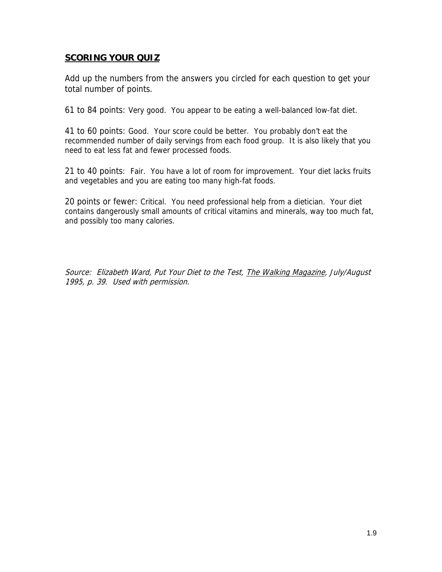### **SCORING YOUR QUIZ**

Add up the numbers from the answers you circled for each question to get your total number of points.

61 to 84 points: Very good. You appear to be eating a well-balanced low-fat diet.

41 to 60 points: Good. Your score could be better. You probably don't eat the recommended number of daily servings from each food group. It is also likely that you need to eat less fat and fewer processed foods.

21 to 40 points: Fair. You have a lot of room for improvement. Your diet lacks fruits and vegetables and you are eating too many high-fat foods.

20 points or fewer: Critical. You need professional help from a dietician. Your diet contains dangerously small amounts of critical vitamins and minerals, way too much fat, and possibly too many calories.

Source: Elizabeth Ward, Put Your Diet to the Test, The Walking Magazine, July/August 1995, p. 39. Used with permission.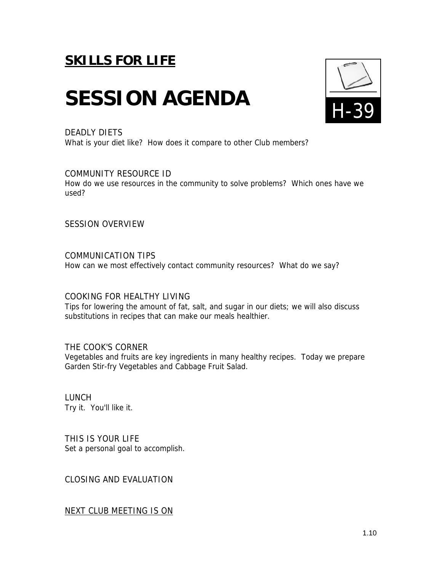# SESSION AGENDA **FL39**



#### DEADLY DIETS

What is your diet like? How does it compare to other Club members?

#### COMMUNITY RESOURCE ID

How do we use resources in the community to solve problems? Which ones have we used?

SESSION OVERVIEW

COMMUNICATION TIPS How can we most effectively contact community resources? What do we say?

#### COOKING FOR HEALTHY LIVING

Tips for lowering the amount of fat, salt, and sugar in our diets; we will also discuss substitutions in recipes that can make our meals healthier.

THE COOK'S CORNER Vegetables and fruits are key ingredients in many healthy recipes. Today we prepare Garden Stir-fry Vegetables and Cabbage Fruit Salad.

LUNCH Try it. You'll like it.

THIS IS YOUR LIFE Set a personal goal to accomplish.

CLOSING AND EVALUATION

NEXT CLUB MEETING IS ON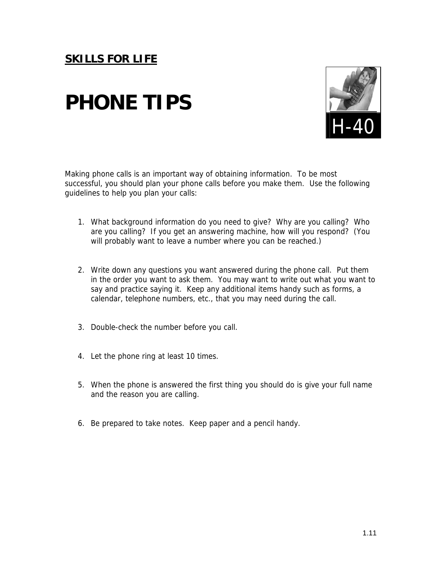## **PHONE TIPS**



Making phone calls is an important way of obtaining information. To be most successful, you should plan your phone calls before you make them. Use the following guidelines to help you plan your calls:

- 1. What background information do you need to give? Why are you calling? Who are you calling? If you get an answering machine, how will you respond? (You will probably want to leave a number where you can be reached.)
- 2. Write down any questions you want answered during the phone call. Put them in the order you want to ask them. You may want to write out what you want to say and practice saying it. Keep any additional items handy such as forms, a calendar, telephone numbers, etc., that you may need during the call.
- 3. Double-check the number before you call.
- 4. Let the phone ring at least 10 times.
- 5. When the phone is answered the first thing you should do is give your full name and the reason you are calling.
- 6. Be prepared to take notes. Keep paper and a pencil handy.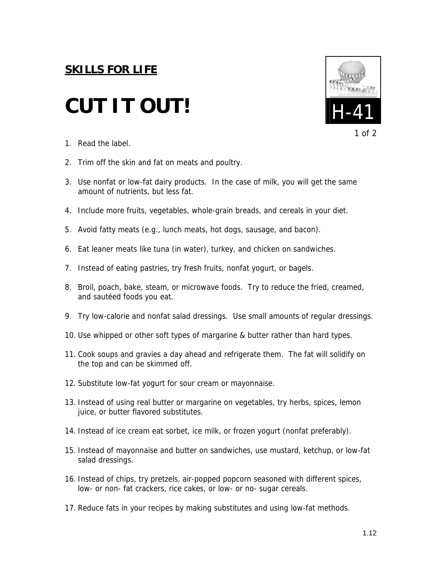## **CUT IT OUT!**





- 1. Read the label.
- 2. Trim off the skin and fat on meats and poultry.
- 3. Use nonfat or low-fat dairy products. In the case of milk, you will get the same amount of nutrients, but less fat.
- 4. Include more fruits, vegetables, whole-grain breads, and cereals in your diet.
- 5. Avoid fatty meats (e.g., lunch meats, hot dogs, sausage, and bacon).
- 6. Eat leaner meats like tuna (in water), turkey, and chicken on sandwiches.
- 7. Instead of eating pastries, try fresh fruits, nonfat yogurt, or bagels.
- 8. Broil, poach, bake, steam, or microwave foods. Try to reduce the fried, creamed, and sautéed foods you eat.
- 9. Try low-calorie and nonfat salad dressings. Use small amounts of regular dressings.
- 10. Use whipped or other soft types of margarine & butter rather than hard types.
- 11. Cook soups and gravies a day ahead and refrigerate them. The fat will solidify on the top and can be skimmed off.
- 12. Substitute low-fat yogurt for sour cream or mayonnaise.
- 13. Instead of using real butter or margarine on vegetables, try herbs, spices, lemon juice, or butter flavored substitutes.
- 14. Instead of ice cream eat sorbet, ice milk, or frozen yogurt (nonfat preferably).
- 15. Instead of mayonnaise and butter on sandwiches, use mustard, ketchup, or low-fat salad dressings.
- 16. Instead of chips, try pretzels, air-popped popcorn seasoned with different spices, low- or non- fat crackers, rice cakes, or low- or no- sugar cereals.
- 17. Reduce fats in your recipes by making substitutes and using low-fat methods.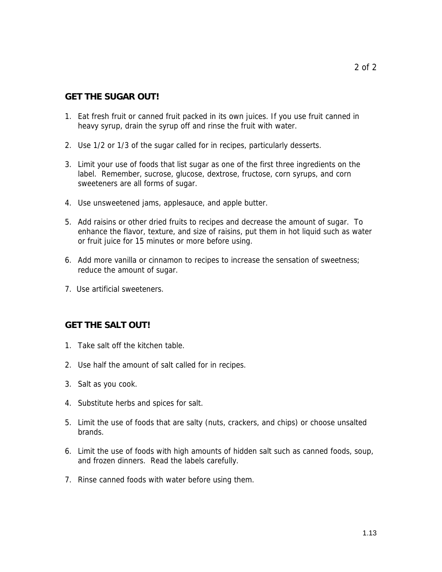### **GET THE SUGAR OUT!**

- 1. Eat fresh fruit or canned fruit packed in its own juices. If you use fruit canned in heavy syrup, drain the syrup off and rinse the fruit with water.
- 2. Use 1/2 or 1/3 of the sugar called for in recipes, particularly desserts.
- 3. Limit your use of foods that list sugar as one of the first three ingredients on the label. Remember, sucrose, glucose, dextrose, fructose, corn syrups, and corn sweeteners are all forms of sugar.
- 4. Use unsweetened jams, applesauce, and apple butter.
- 5. Add raisins or other dried fruits to recipes and decrease the amount of sugar. To enhance the flavor, texture, and size of raisins, put them in hot liquid such as water or fruit juice for 15 minutes or more before using.
- 6. Add more vanilla or cinnamon to recipes to increase the sensation of sweetness; reduce the amount of sugar.
- 7. Use artificial sweeteners.

### **GET THE SALT OUT!**

- 1. Take salt off the kitchen table.
- 2. Use half the amount of salt called for in recipes.
- 3. Salt as you cook.
- 4. Substitute herbs and spices for salt.
- 5. Limit the use of foods that are salty (nuts, crackers, and chips) or choose unsalted brands.
- 6. Limit the use of foods with high amounts of hidden salt such as canned foods, soup, and frozen dinners. Read the labels carefully.
- 7. Rinse canned foods with water before using them.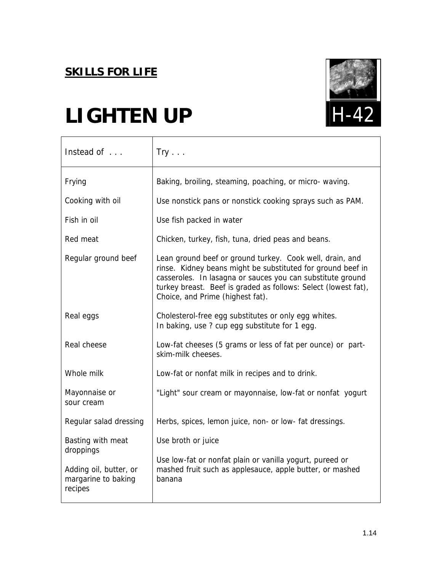

## **LIGHTEN UP**

| Instead of                                               | $Try \dots$                                                                                                                                                                                                                                                                                 |
|----------------------------------------------------------|---------------------------------------------------------------------------------------------------------------------------------------------------------------------------------------------------------------------------------------------------------------------------------------------|
| Frying                                                   | Baking, broiling, steaming, poaching, or micro- waving.                                                                                                                                                                                                                                     |
| Cooking with oil                                         | Use nonstick pans or nonstick cooking sprays such as PAM.                                                                                                                                                                                                                                   |
| Fish in oil                                              | Use fish packed in water                                                                                                                                                                                                                                                                    |
| Red meat                                                 | Chicken, turkey, fish, tuna, dried peas and beans.                                                                                                                                                                                                                                          |
| Regular ground beef                                      | Lean ground beef or ground turkey. Cook well, drain, and<br>rinse. Kidney beans might be substituted for ground beef in<br>casseroles. In lasagna or sauces you can substitute ground<br>turkey breast. Beef is graded as follows: Select (lowest fat),<br>Choice, and Prime (highest fat). |
| Real eggs                                                | Cholesterol-free egg substitutes or only egg whites.<br>In baking, use ? cup egg substitute for 1 egg.                                                                                                                                                                                      |
| Real cheese                                              | Low-fat cheeses (5 grams or less of fat per ounce) or part-<br>skim-milk cheeses.                                                                                                                                                                                                           |
| Whole milk                                               | Low-fat or nonfat milk in recipes and to drink.                                                                                                                                                                                                                                             |
| Mayonnaise or<br>sour cream                              | "Light" sour cream or mayonnaise, low-fat or nonfat yogurt                                                                                                                                                                                                                                  |
| Regular salad dressing                                   | Herbs, spices, lemon juice, non- or low- fat dressings.                                                                                                                                                                                                                                     |
| Basting with meat<br>droppings                           | Use broth or juice                                                                                                                                                                                                                                                                          |
| Adding oil, butter, or<br>margarine to baking<br>recipes | Use low-fat or nonfat plain or vanilla yogurt, pureed or<br>mashed fruit such as applesauce, apple butter, or mashed<br>banana                                                                                                                                                              |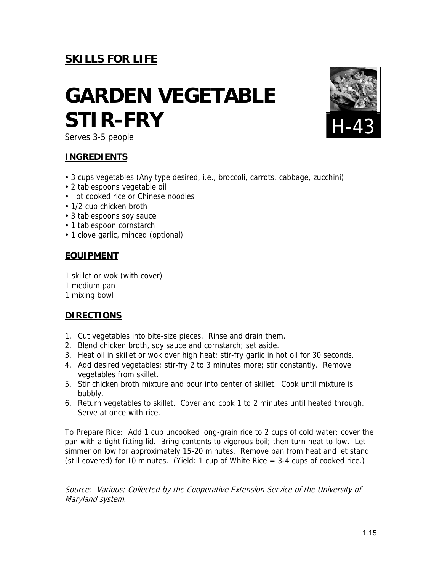## **GARDEN VEGETABLE STIR-FRY**



Serves 3-5 people

### **INGREDIENTS**

- 3 cups vegetables (Any type desired, i.e., broccoli, carrots, cabbage, zucchini)
- 2 tablespoons vegetable oil
- Hot cooked rice or Chinese noodles
- 1/2 cup chicken broth
- 3 tablespoons soy sauce
- 1 tablespoon cornstarch
- 1 clove garlic, minced (optional)

### **EQUIPMENT**

- 1 skillet or wok (with cover)
- 1 medium pan
- 1 mixing bowl

### **DIRECTIONS**

- 1. Cut vegetables into bite-size pieces. Rinse and drain them.
- 2. Blend chicken broth, soy sauce and cornstarch; set aside.
- 3. Heat oil in skillet or wok over high heat; stir-fry garlic in hot oil for 30 seconds.
- 4. Add desired vegetables; stir-fry 2 to 3 minutes more; stir constantly. Remove vegetables from skillet.
- 5. Stir chicken broth mixture and pour into center of skillet. Cook until mixture is bubbly.
- 6. Return vegetables to skillet. Cover and cook 1 to 2 minutes until heated through. Serve at once with rice.

To Prepare Rice: Add 1 cup uncooked long-grain rice to 2 cups of cold water; cover the pan with a tight fitting lid. Bring contents to vigorous boil; then turn heat to low. Let simmer on low for approximately 15-20 minutes. Remove pan from heat and let stand (still covered) for 10 minutes. (Yield: 1 cup of White Rice = 3-4 cups of cooked rice.)

Source: Various; Collected by the Cooperative Extension Service of the University of Maryland system.